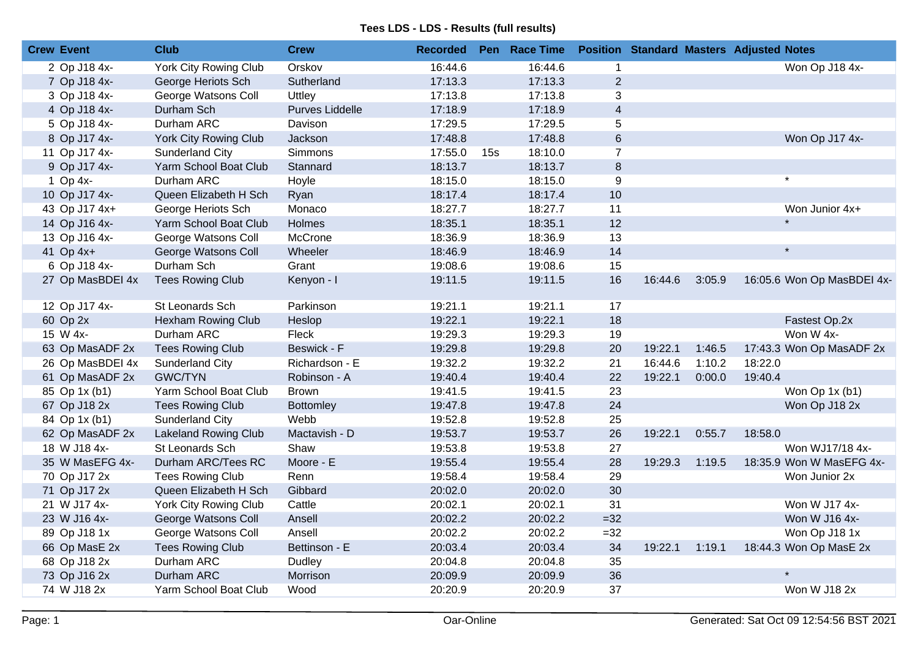| <b>Crew Event</b> | <b>Club</b>                  | <b>Crew</b>      | <b>Recorded</b> |     | Pen Race Time |                |         |        | <b>Position Standard Masters Adjusted Notes</b> |
|-------------------|------------------------------|------------------|-----------------|-----|---------------|----------------|---------|--------|-------------------------------------------------|
| 2 Op J18 4x-      | <b>York City Rowing Club</b> | Orskov           | 16:44.6         |     | 16:44.6       | $\mathbf{1}$   |         |        | Won Op J18 4x-                                  |
| 7 Op J18 4x-      | George Heriots Sch           | Sutherland       | 17:13.3         |     | 17:13.3       | 2              |         |        |                                                 |
| 3 Op J18 4x-      | George Watsons Coll          | Uttley           | 17:13.8         |     | 17:13.8       | 3              |         |        |                                                 |
| 4 Op J18 4x-      | Durham Sch                   | Purves Liddelle  | 17:18.9         |     | 17:18.9       | $\overline{4}$ |         |        |                                                 |
| 5 Op J18 4x-      | Durham ARC                   | Davison          | 17:29.5         |     | 17:29.5       | 5              |         |        |                                                 |
| 8 Op J17 4x-      | York City Rowing Club        | Jackson          | 17:48.8         |     | 17:48.8       | $\,6\,$        |         |        | Won Op J17 4x-                                  |
| 11 Op J17 4x-     | Sunderland City              | Simmons          | 17:55.0         | 15s | 18:10.0       | $\overline{7}$ |         |        |                                                 |
| 9 Op J17 4x-      | Yarm School Boat Club        | Stannard         | 18:13.7         |     | 18:13.7       | $\bf 8$        |         |        |                                                 |
| 1 Op 4x-          | Durham ARC                   | Hoyle            | 18:15.0         |     | 18:15.0       | 9              |         |        | $\star$                                         |
| 10 Op J17 4x-     | Queen Elizabeth H Sch        | Ryan             | 18:17.4         |     | 18:17.4       | 10             |         |        |                                                 |
| 43 Op J17 4x+     | George Heriots Sch           | Monaco           | 18:27.7         |     | 18:27.7       | 11             |         |        | Won Junior 4x+                                  |
| 14 Op J16 4x-     | Yarm School Boat Club        | Holmes           | 18:35.1         |     | 18:35.1       | 12             |         |        |                                                 |
| 13 Op J16 4x-     | George Watsons Coll          | McCrone          | 18:36.9         |     | 18:36.9       | 13             |         |        |                                                 |
| 41 Op 4x+         | George Watsons Coll          | Wheeler          | 18:46.9         |     | 18:46.9       | 14             |         |        | $\star$                                         |
| 6 Op J18 4x-      | Durham Sch                   | Grant            | 19:08.6         |     | 19:08.6       | 15             |         |        |                                                 |
| 27 Op MasBDEI 4x  | <b>Tees Rowing Club</b>      | Kenyon - I       | 19:11.5         |     | 19:11.5       | 16             | 16:44.6 | 3:05.9 | 16:05.6 Won Op MasBDEI 4x-                      |
| 12 Op J17 4x-     | St Leonards Sch              | Parkinson        | 19:21.1         |     | 19:21.1       | 17             |         |        |                                                 |
| 60 Op 2x          | Hexham Rowing Club           | Heslop           | 19:22.1         |     | 19:22.1       | 18             |         |        | Fastest Op.2x                                   |
| 15 W 4x-          | Durham ARC                   | Fleck            | 19:29.3         |     | 19:29.3       | 19             |         |        | Won W 4x-                                       |
| 63 Op MasADF 2x   | <b>Tees Rowing Club</b>      | Beswick - F      | 19:29.8         |     | 19:29.8       | 20             | 19:22.1 | 1:46.5 | 17:43.3 Won Op MasADF 2x                        |
| 26 Op MasBDEI 4x  | Sunderland City              | Richardson - E   | 19:32.2         |     | 19:32.2       | 21             | 16:44.6 | 1:10.2 | 18:22.0                                         |
| 61 Op MasADF 2x   | <b>GWC/TYN</b>               | Robinson - A     | 19:40.4         |     | 19:40.4       | 22             | 19:22.1 | 0:00.0 | 19:40.4                                         |
| 85 Op 1x (b1)     | Yarm School Boat Club        | <b>Brown</b>     | 19:41.5         |     | 19:41.5       | 23             |         |        | Won Op 1x (b1)                                  |
| 67 Op J18 2x      | <b>Tees Rowing Club</b>      | <b>Bottomley</b> | 19:47.8         |     | 19:47.8       | 24             |         |        | Won Op J18 2x                                   |
| 84 Op 1x (b1)     | Sunderland City              | Webb             | 19:52.8         |     | 19:52.8       | 25             |         |        |                                                 |
| 62 Op MasADF 2x   | <b>Lakeland Rowing Club</b>  | Mactavish - D    | 19:53.7         |     | 19:53.7       | 26             | 19:22.1 | 0:55.7 | 18:58.0                                         |
| 18 W J18 4x-      | St Leonards Sch              | Shaw             | 19:53.8         |     | 19:53.8       | 27             |         |        | Won WJ17/18 4x-                                 |
| 35 W MasEFG 4x-   | Durham ARC/Tees RC           | Moore - E        | 19:55.4         |     | 19:55.4       | 28             | 19:29.3 | 1:19.5 | 18:35.9 Won W MasEFG 4x-                        |
| 70 Op J17 2x      | <b>Tees Rowing Club</b>      | Renn             | 19:58.4         |     | 19:58.4       | 29             |         |        | Won Junior 2x                                   |
| 71 Op J17 2x      | Queen Elizabeth H Sch        | Gibbard          | 20:02.0         |     | 20:02.0       | 30             |         |        |                                                 |
| 21 W J17 4x-      | York City Rowing Club        | Cattle           | 20:02.1         |     | 20:02.1       | 31             |         |        | Won W J17 4x-                                   |
| 23 W J16 4x-      | George Watsons Coll          | Ansell           | 20:02.2         |     | 20:02.2       | $=32$          |         |        | Won W J16 4x-                                   |
| 89 Op J18 1x      | George Watsons Coll          | Ansell           | 20:02.2         |     | 20:02.2       | $=32$          |         |        | Won Op J18 1x                                   |
| 66 Op MasE 2x     | <b>Tees Rowing Club</b>      | Bettinson - E    | 20:03.4         |     | 20:03.4       | 34             | 19:22.1 | 1:19.1 | 18:44.3 Won Op MasE 2x                          |
| 68 Op J18 2x      | Durham ARC                   | Dudley           | 20:04.8         |     | 20:04.8       | 35             |         |        |                                                 |
| 73 Op J16 2x      | Durham ARC                   | Morrison         | 20:09.9         |     | 20:09.9       | 36             |         |        |                                                 |
| 74 W J18 2x       | Yarm School Boat Club        | Wood             | 20:20.9         |     | 20:20.9       | 37             |         |        | Won W J18 2x                                    |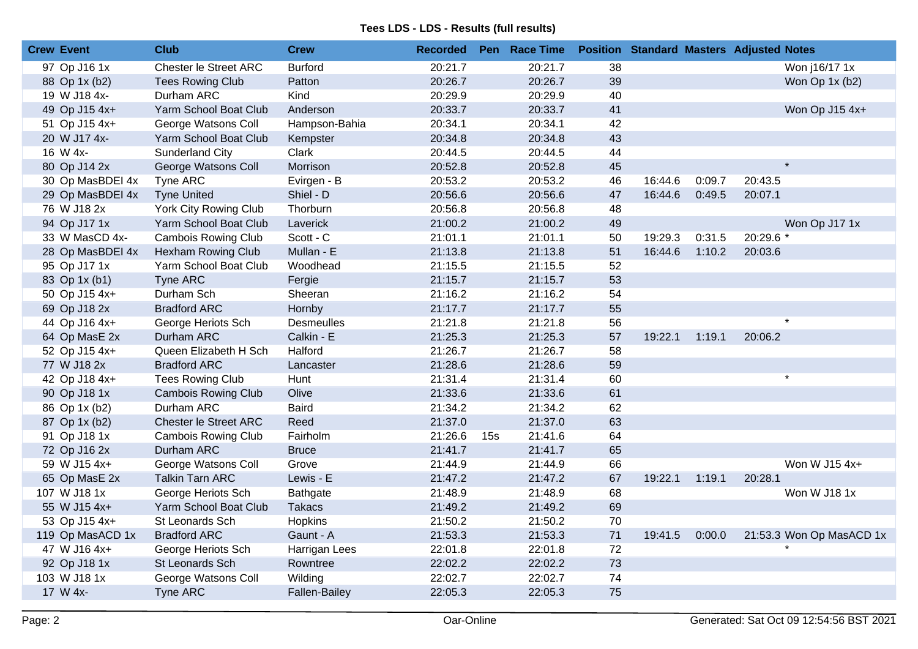| <b>Crew Event</b> | <b>Club</b>                  | <b>Crew</b>          | <b>Recorded</b> |     | Pen Race Time |    |         |        | <b>Position Standard Masters Adjusted Notes</b> |
|-------------------|------------------------------|----------------------|-----------------|-----|---------------|----|---------|--------|-------------------------------------------------|
| 97 Op J16 1x      | <b>Chester le Street ARC</b> | <b>Burford</b>       | 20:21.7         |     | 20:21.7       | 38 |         |        | Won j16/17 1x                                   |
| 88 Op 1x (b2)     | <b>Tees Rowing Club</b>      | Patton               | 20:26.7         |     | 20:26.7       | 39 |         |        | Won Op 1x (b2)                                  |
| 19 W J18 4x-      | Durham ARC                   | Kind                 | 20:29.9         |     | 20:29.9       | 40 |         |        |                                                 |
| 49 Op J15 4x+     | Yarm School Boat Club        | Anderson             | 20:33.7         |     | 20:33.7       | 41 |         |        | Won Op J15 4x+                                  |
| 51 Op J15 4x+     | George Watsons Coll          | Hampson-Bahia        | 20:34.1         |     | 20:34.1       | 42 |         |        |                                                 |
| 20 W J17 4x-      | Yarm School Boat Club        | Kempster             | 20:34.8         |     | 20:34.8       | 43 |         |        |                                                 |
| 16 W 4x-          | Sunderland City              | Clark                | 20:44.5         |     | 20:44.5       | 44 |         |        |                                                 |
| 80 Op J14 2x      | George Watsons Coll          | Morrison             | 20:52.8         |     | 20:52.8       | 45 |         |        | $\star$                                         |
| 30 Op MasBDEI 4x  | Tyne ARC                     | Evirgen - B          | 20:53.2         |     | 20:53.2       | 46 | 16:44.6 | 0:09.7 | 20:43.5                                         |
| 29 Op MasBDEI 4x  | <b>Tyne United</b>           | Shiel - D            | 20:56.6         |     | 20:56.6       | 47 | 16:44.6 | 0:49.5 | 20:07.1                                         |
| 76 W J18 2x       | York City Rowing Club        | Thorburn             | 20:56.8         |     | 20:56.8       | 48 |         |        |                                                 |
| 94 Op J17 1x      | Yarm School Boat Club        | Laverick             | 21:00.2         |     | 21:00.2       | 49 |         |        | Won Op J17 1x                                   |
| 33 W MasCD 4x-    | <b>Cambois Rowing Club</b>   | Scott - C            | 21:01.1         |     | 21:01.1       | 50 | 19:29.3 | 0:31.5 | 20:29.6 *                                       |
| 28 Op MasBDEI 4x  | Hexham Rowing Club           | Mullan - E           | 21:13.8         |     | 21:13.8       | 51 | 16:44.6 | 1:10.2 | 20:03.6                                         |
| 95 Op J17 1x      | Yarm School Boat Club        | Woodhead             | 21:15.5         |     | 21:15.5       | 52 |         |        |                                                 |
| 83 Op 1x (b1)     | Tyne ARC                     | Fergie               | 21:15.7         |     | 21:15.7       | 53 |         |        |                                                 |
| 50 Op J15 4x+     | Durham Sch                   | Sheeran              | 21:16.2         |     | 21:16.2       | 54 |         |        |                                                 |
| 69 Op J18 2x      | <b>Bradford ARC</b>          | Hornby               | 21:17.7         |     | 21:17.7       | 55 |         |        |                                                 |
| 44 Op J16 4x+     | George Heriots Sch           | <b>Desmeulles</b>    | 21:21.8         |     | 21:21.8       | 56 |         |        | $\star$                                         |
| 64 Op MasE 2x     | Durham ARC                   | Calkin - E           | 21:25.3         |     | 21:25.3       | 57 | 19:22.1 | 1:19.1 | 20:06.2                                         |
| 52 Op J15 4x+     | Queen Elizabeth H Sch        | Halford              | 21:26.7         |     | 21:26.7       | 58 |         |        |                                                 |
| 77 W J18 2x       | <b>Bradford ARC</b>          | Lancaster            | 21:28.6         |     | 21:28.6       | 59 |         |        |                                                 |
| 42 Op J18 4x+     | <b>Tees Rowing Club</b>      | Hunt                 | 21:31.4         |     | 21:31.4       | 60 |         |        | $\star$                                         |
| 90 Op J18 1x      | <b>Cambois Rowing Club</b>   | Olive                | 21:33.6         |     | 21:33.6       | 61 |         |        |                                                 |
| 86 Op 1x (b2)     | Durham ARC                   | <b>Baird</b>         | 21:34.2         |     | 21:34.2       | 62 |         |        |                                                 |
| 87 Op 1x (b2)     | Chester le Street ARC        | Reed                 | 21:37.0         |     | 21:37.0       | 63 |         |        |                                                 |
| 91 Op J18 1x      | <b>Cambois Rowing Club</b>   | Fairholm             | 21:26.6         | 15s | 21:41.6       | 64 |         |        |                                                 |
| 72 Op J16 2x      | Durham ARC                   | <b>Bruce</b>         | 21:41.7         |     | 21:41.7       | 65 |         |        |                                                 |
| 59 W J15 4x+      | George Watsons Coll          | Grove                | 21:44.9         |     | 21:44.9       | 66 |         |        | Won W J15 4x+                                   |
| 65 Op MasE 2x     | <b>Talkin Tarn ARC</b>       | Lewis - E            | 21:47.2         |     | 21:47.2       | 67 | 19:22.1 | 1:19.1 | 20:28.1                                         |
| 107 W J18 1x      | George Heriots Sch           | Bathgate             | 21:48.9         |     | 21:48.9       | 68 |         |        | Won W J18 1x                                    |
| 55 W J15 4x+      | Yarm School Boat Club        | <b>Takacs</b>        | 21:49.2         |     | 21:49.2       | 69 |         |        |                                                 |
| 53 Op J15 4x+     | St Leonards Sch              | Hopkins              | 21:50.2         |     | 21:50.2       | 70 |         |        |                                                 |
| 119 Op MasACD 1x  | <b>Bradford ARC</b>          | Gaunt - A            | 21:53.3         |     | 21:53.3       | 71 | 19:41.5 | 0:00.0 | 21:53.3 Won Op MasACD 1x                        |
| 47 W J16 4x+      | George Heriots Sch           | Harrigan Lees        | 22:01.8         |     | 22:01.8       | 72 |         |        |                                                 |
| 92 Op J18 1x      | <b>St Leonards Sch</b>       | Rowntree             | 22:02.2         |     | 22:02.2       | 73 |         |        |                                                 |
| 103 W J18 1x      | George Watsons Coll          | Wilding              | 22:02.7         |     | 22:02.7       | 74 |         |        |                                                 |
| 17 W 4x-          | <b>Tyne ARC</b>              | <b>Fallen-Bailey</b> | 22:05.3         |     | 22:05.3       | 75 |         |        |                                                 |
|                   |                              |                      |                 |     |               |    |         |        |                                                 |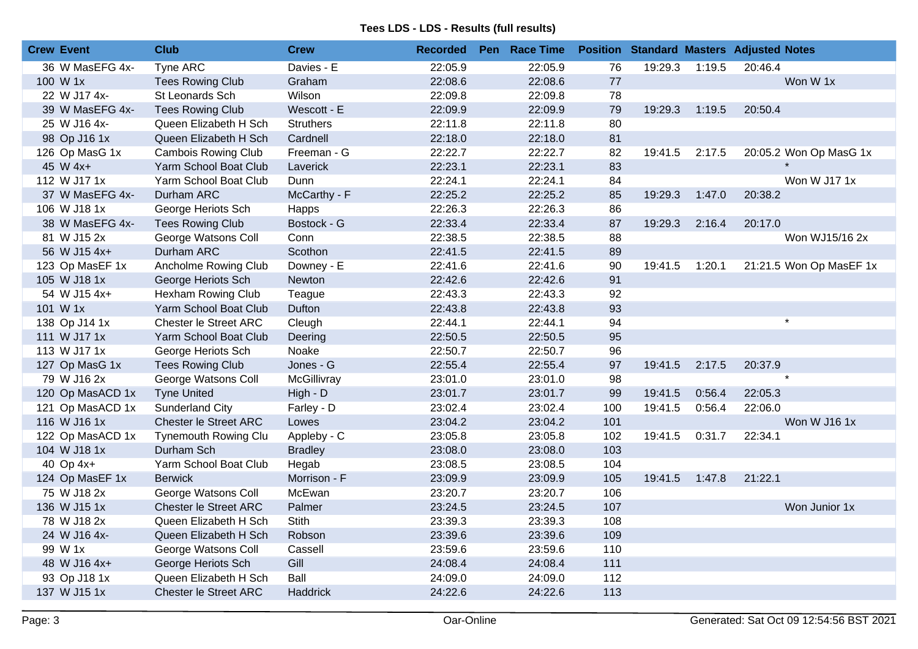| <b>Crew Event</b> | <b>Club</b>                  | <b>Crew</b>      | <b>Recorded</b> | Pen Race Time |     |         |        | <b>Position Standard Masters Adjusted Notes</b> |
|-------------------|------------------------------|------------------|-----------------|---------------|-----|---------|--------|-------------------------------------------------|
| 36 W MasEFG 4x-   | <b>Tyne ARC</b>              | Davies - E       | 22:05.9         | 22:05.9       | 76  | 19:29.3 | 1:19.5 | 20:46.4                                         |
| 100 W 1x          | <b>Tees Rowing Club</b>      | Graham           | 22:08.6         | 22:08.6       | 77  |         |        | Won W 1x                                        |
| 22 W J17 4x-      | St Leonards Sch              | Wilson           | 22:09.8         | 22:09.8       | 78  |         |        |                                                 |
| 39 W MasEFG 4x-   | <b>Tees Rowing Club</b>      | Wescott - E      | 22:09.9         | 22:09.9       | 79  | 19:29.3 | 1:19.5 | 20:50.4                                         |
| 25 W J16 4x-      | Queen Elizabeth H Sch        | <b>Struthers</b> | 22:11.8         | 22:11.8       | 80  |         |        |                                                 |
| 98 Op J16 1x      | Queen Elizabeth H Sch        | Cardnell         | 22:18.0         | 22:18.0       | 81  |         |        |                                                 |
| 126 Op MasG 1x    | <b>Cambois Rowing Club</b>   | Freeman - G      | 22:22.7         | 22:22.7       | 82  | 19:41.5 | 2:17.5 | 20:05.2 Won Op MasG 1x                          |
| 45 W 4x+          | Yarm School Boat Club        | Laverick         | 22:23.1         | 22:23.1       | 83  |         |        |                                                 |
| 112 W J17 1x      | Yarm School Boat Club        | Dunn             | 22:24.1         | 22:24.1       | 84  |         |        | Won W J17 1x                                    |
| 37 W MasEFG 4x-   | Durham ARC                   | McCarthy - F     | 22:25.2         | 22:25.2       | 85  | 19:29.3 | 1:47.0 | 20:38.2                                         |
| 106 W J18 1x      | George Heriots Sch           | Happs            | 22:26.3         | 22:26.3       | 86  |         |        |                                                 |
| 38 W MasEFG 4x-   | <b>Tees Rowing Club</b>      | Bostock - G      | 22:33.4         | 22:33.4       | 87  | 19:29.3 | 2:16.4 | 20:17.0                                         |
| 81 W J15 2x       | George Watsons Coll          | Conn             | 22:38.5         | 22:38.5       | 88  |         |        | Won WJ15/16 2x                                  |
| 56 W J15 4x+      | Durham ARC                   | Scothon          | 22:41.5         | 22:41.5       | 89  |         |        |                                                 |
| 123 Op MasEF 1x   | Ancholme Rowing Club         | Downey - E       | 22:41.6         | 22:41.6       | 90  | 19:41.5 | 1:20.1 | 21:21.5 Won Op MasEF 1x                         |
| 105 W J18 1x      | George Heriots Sch           | Newton           | 22:42.6         | 22:42.6       | 91  |         |        |                                                 |
| 54 W J15 4x+      | <b>Hexham Rowing Club</b>    | Teague           | 22:43.3         | 22:43.3       | 92  |         |        |                                                 |
| 101 W 1x          | Yarm School Boat Club        | Dufton           | 22:43.8         | 22:43.8       | 93  |         |        |                                                 |
| 138 Op J14 1x     | Chester le Street ARC        | Cleugh           | 22:44.1         | 22:44.1       | 94  |         |        | $\star$                                         |
| 111 W J17 1x      | Yarm School Boat Club        | Deering          | 22:50.5         | 22:50.5       | 95  |         |        |                                                 |
| 113 W J17 1x      | George Heriots Sch           | Noake            | 22:50.7         | 22:50.7       | 96  |         |        |                                                 |
| 127 Op MasG 1x    | <b>Tees Rowing Club</b>      | Jones - G        | 22:55.4         | 22:55.4       | 97  | 19:41.5 | 2:17.5 | 20:37.9                                         |
| 79 W J16 2x       | George Watsons Coll          | McGillivray      | 23:01.0         | 23:01.0       | 98  |         |        | $\star$                                         |
| 120 Op MasACD 1x  | <b>Tyne United</b>           | $High - D$       | 23:01.7         | 23:01.7       | 99  | 19:41.5 | 0:56.4 | 22:05.3                                         |
| 121 Op MasACD 1x  | Sunderland City              | Farley - D       | 23:02.4         | 23:02.4       | 100 | 19:41.5 | 0:56.4 | 22:06.0                                         |
| 116 W J16 1x      | Chester le Street ARC        | Lowes            | 23:04.2         | 23:04.2       | 101 |         |        | Won W J16 1x                                    |
| 122 Op MasACD 1x  | <b>Tynemouth Rowing Clu</b>  | Appleby - C      | 23:05.8         | 23:05.8       | 102 | 19:41.5 | 0:31.7 | 22:34.1                                         |
| 104 W J18 1x      | Durham Sch                   | <b>Bradley</b>   | 23:08.0         | 23:08.0       | 103 |         |        |                                                 |
| 40 Op 4x+         | Yarm School Boat Club        | Hegab            | 23:08.5         | 23:08.5       | 104 |         |        |                                                 |
| 124 Op MasEF 1x   | <b>Berwick</b>               | Morrison - F     | 23:09.9         | 23:09.9       | 105 | 19:41.5 | 1:47.8 | 21:22.1                                         |
| 75 W J18 2x       | George Watsons Coll          | McEwan           | 23:20.7         | 23:20.7       | 106 |         |        |                                                 |
| 136 W J15 1x      | <b>Chester le Street ARC</b> | Palmer           | 23:24.5         | 23:24.5       | 107 |         |        | Won Junior 1x                                   |
| 78 W J18 2x       | Queen Elizabeth H Sch        | Stith            | 23:39.3         | 23:39.3       | 108 |         |        |                                                 |
| 24 W J16 4x-      | Queen Elizabeth H Sch        | Robson           | 23:39.6         | 23:39.6       | 109 |         |        |                                                 |
| 99 W 1x           | George Watsons Coll          | Cassell          | 23:59.6         | 23:59.6       | 110 |         |        |                                                 |
| 48 W J16 4x+      | George Heriots Sch           | Gill             | 24:08.4         | 24:08.4       | 111 |         |        |                                                 |
| 93 Op J18 1x      | Queen Elizabeth H Sch        | Ball             | 24:09.0         | 24:09.0       | 112 |         |        |                                                 |
| 137 W J15 1x      | <b>Chester le Street ARC</b> | Haddrick         | 24:22.6         | 24:22.6       | 113 |         |        |                                                 |
|                   |                              |                  |                 |               |     |         |        |                                                 |